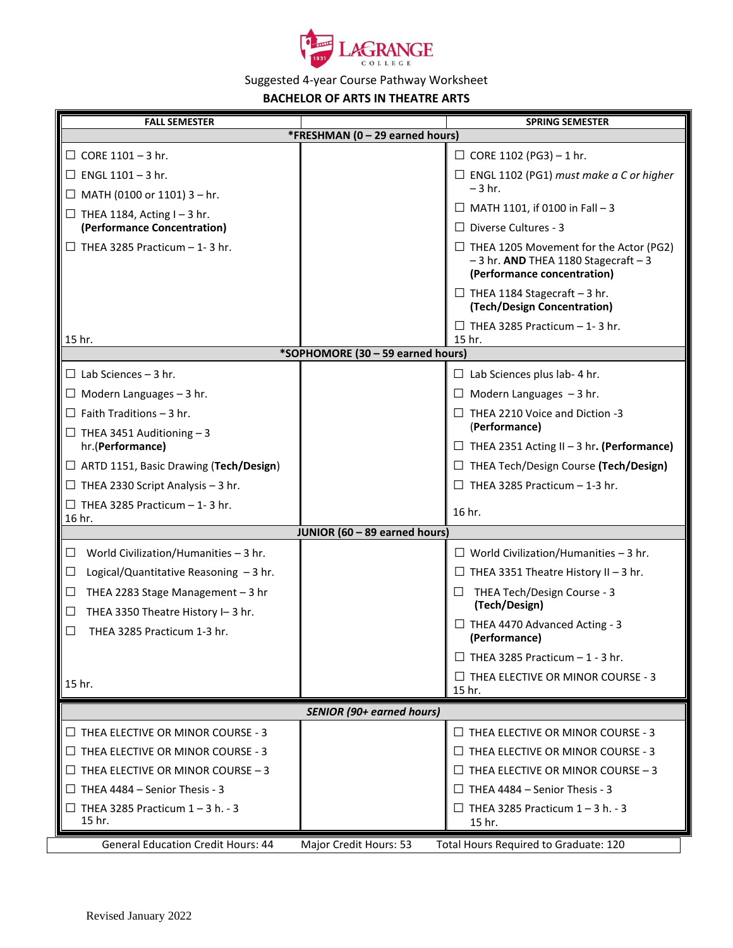

## Suggested 4-year Course Pathway Worksheet

## **BACHELOR OF ARTS IN THEATRE ARTS**

| <b>FALL SEMESTER</b>                                                              |                        | <b>SPRING SEMESTER</b>                                                                                                 |
|-----------------------------------------------------------------------------------|------------------------|------------------------------------------------------------------------------------------------------------------------|
| *FRESHMAN (0 - 29 earned hours)                                                   |                        |                                                                                                                        |
| $\Box$ CORE 1101 - 3 hr.                                                          |                        | $\Box$ CORE 1102 (PG3) - 1 hr.                                                                                         |
| $\Box$ ENGL 1101 - 3 hr.                                                          |                        | $\Box$ ENGL 1102 (PG1) must make a C or higher                                                                         |
| $\Box$ MATH (0100 or 1101) 3 – hr.                                                |                        | $-3$ hr.                                                                                                               |
| $\Box$ THEA 1184, Acting I - 3 hr.                                                |                        | $\Box$ MATH 1101, if 0100 in Fall - 3                                                                                  |
| (Performance Concentration)                                                       |                        | $\Box$ Diverse Cultures - 3                                                                                            |
| $\Box$ THEA 3285 Practicum – 1-3 hr.                                              |                        | $\Box$ THEA 1205 Movement for the Actor (PG2)<br>$-3$ hr. AND THEA 1180 Stagecraft $-3$<br>(Performance concentration) |
|                                                                                   |                        | $\Box$ THEA 1184 Stagecraft - 3 hr.<br>(Tech/Design Concentration)                                                     |
| 15 hr.                                                                            |                        | $\Box$ THEA 3285 Practicum - 1-3 hr.<br>15 hr.                                                                         |
| *SOPHOMORE (30 - 59 earned hours)                                                 |                        |                                                                                                                        |
| $\Box$ Lab Sciences - 3 hr.                                                       |                        | $\Box$ Lab Sciences plus lab- 4 hr.                                                                                    |
| $\Box$ Modern Languages - 3 hr.                                                   |                        | $\Box$ Modern Languages $-3$ hr.                                                                                       |
| $\Box$ Faith Traditions - 3 hr.                                                   |                        | $\Box$ THEA 2210 Voice and Diction -3                                                                                  |
| $\Box$ THEA 3451 Auditioning $-3$                                                 |                        | (Performance)                                                                                                          |
| hr.(Performance)                                                                  |                        | $\Box$ THEA 2351 Acting II - 3 hr. (Performance)                                                                       |
| □ ARTD 1151, Basic Drawing (Tech/Design)                                          |                        | □ THEA Tech/Design Course (Tech/Design)                                                                                |
| $\Box$ THEA 2330 Script Analysis - 3 hr.                                          |                        | $\Box$ THEA 3285 Practicum - 1-3 hr.                                                                                   |
| $\Box$ THEA 3285 Practicum - 1-3 hr.<br>16 hr.                                    |                        | 16 hr.                                                                                                                 |
| JUNIOR (60 - 89 earned hours)                                                     |                        |                                                                                                                        |
| World Civilization/Humanities $-3$ hr.<br>$\Box$                                  |                        | $\Box$ World Civilization/Humanities - 3 hr.                                                                           |
| Logical/Quantitative Reasoning $-3$ hr.<br>$\Box$                                 |                        | $\Box$ THEA 3351 Theatre History II - 3 hr.                                                                            |
| THEA 2283 Stage Management $-3$ hr<br>$\Box$<br>THEA 3350 Theatre History I-3 hr. |                        | THEA Tech/Design Course - 3<br>(Tech/Design)                                                                           |
| THEA 3285 Practicum 1-3 hr.                                                       |                        | $\Box$ THEA 4470 Advanced Acting - 3<br>(Performance)                                                                  |
|                                                                                   |                        | $\Box$ THEA 3285 Practicum - 1 - 3 hr.                                                                                 |
| 15 hr.                                                                            |                        | $\Box$ THEA ELECTIVE OR MINOR COURSE - 3<br>15 hr.                                                                     |
| <b>SENIOR (90+ earned hours)</b>                                                  |                        |                                                                                                                        |
| $\Box$ THEA ELECTIVE OR MINOR COURSE - 3                                          |                        | $\Box$ THEA ELECTIVE OR MINOR COURSE - 3                                                                               |
| $\Box$ THEA ELECTIVE OR MINOR COURSE - 3                                          |                        | $\Box$ THEA ELECTIVE OR MINOR COURSE - 3                                                                               |
| $\Box$ THEA ELECTIVE OR MINOR COURSE – 3                                          |                        | $\Box$ THEA ELECTIVE OR MINOR COURSE - 3                                                                               |
| $\Box$ THEA 4484 – Senior Thesis - 3                                              |                        | $\Box$ THEA 4484 – Senior Thesis - 3                                                                                   |
| $\Box$ THEA 3285 Practicum 1 - 3 h. - 3<br>15 hr.                                 |                        | $\Box$ THEA 3285 Practicum 1 – 3 h. - 3<br>15 hr.                                                                      |
| <b>General Education Credit Hours: 44</b>                                         | Major Credit Hours: 53 | Total Hours Required to Graduate: 120                                                                                  |